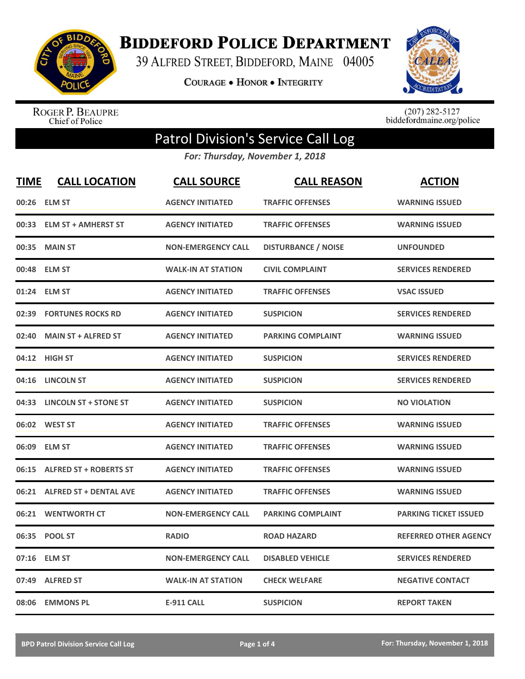

**BIDDEFORD POLICE DEPARTMENT** 

39 ALFRED STREET, BIDDEFORD, MAINE 04005

**COURAGE . HONOR . INTEGRITY** 



ROGER P. BEAUPRE<br>Chief of Police

 $(207)$  282-5127<br>biddefordmaine.org/police

## Patrol Division's Service Call Log

*For: Thursday, November 1, 2018*

| <b>TIME</b> | <b>CALL LOCATION</b>          | <b>CALL SOURCE</b>        | <b>CALL REASON</b>         | <b>ACTION</b>                |
|-------------|-------------------------------|---------------------------|----------------------------|------------------------------|
|             | 00:26 ELM ST                  | <b>AGENCY INITIATED</b>   | <b>TRAFFIC OFFENSES</b>    | <b>WARNING ISSUED</b>        |
| 00:33       | <b>ELM ST + AMHERST ST</b>    | <b>AGENCY INITIATED</b>   | <b>TRAFFIC OFFENSES</b>    | <b>WARNING ISSUED</b>        |
| 00:35       | <b>MAIN ST</b>                | <b>NON-EMERGENCY CALL</b> | <b>DISTURBANCE / NOISE</b> | <b>UNFOUNDED</b>             |
| 00:48       | <b>ELM ST</b>                 | <b>WALK-IN AT STATION</b> | <b>CIVIL COMPLAINT</b>     | <b>SERVICES RENDERED</b>     |
|             | 01:24 ELM ST                  | <b>AGENCY INITIATED</b>   | <b>TRAFFIC OFFENSES</b>    | <b>VSAC ISSUED</b>           |
| 02:39       | <b>FORTUNES ROCKS RD</b>      | <b>AGENCY INITIATED</b>   | <b>SUSPICION</b>           | <b>SERVICES RENDERED</b>     |
| 02:40       | <b>MAIN ST + ALFRED ST</b>    | <b>AGENCY INITIATED</b>   | <b>PARKING COMPLAINT</b>   | <b>WARNING ISSUED</b>        |
|             | 04:12 HIGH ST                 | <b>AGENCY INITIATED</b>   | <b>SUSPICION</b>           | <b>SERVICES RENDERED</b>     |
| 04:16       | <b>LINCOLN ST</b>             | <b>AGENCY INITIATED</b>   | <b>SUSPICION</b>           | <b>SERVICES RENDERED</b>     |
|             | 04:33 LINCOLN ST + STONE ST   | <b>AGENCY INITIATED</b>   | <b>SUSPICION</b>           | <b>NO VIOLATION</b>          |
|             | 06:02 WEST ST                 | <b>AGENCY INITIATED</b>   | <b>TRAFFIC OFFENSES</b>    | <b>WARNING ISSUED</b>        |
| 06:09       | <b>ELM ST</b>                 | <b>AGENCY INITIATED</b>   | <b>TRAFFIC OFFENSES</b>    | <b>WARNING ISSUED</b>        |
| 06:15       | <b>ALFRED ST + ROBERTS ST</b> | <b>AGENCY INITIATED</b>   | <b>TRAFFIC OFFENSES</b>    | <b>WARNING ISSUED</b>        |
| 06:21       | <b>ALFRED ST + DENTAL AVE</b> | <b>AGENCY INITIATED</b>   | <b>TRAFFIC OFFENSES</b>    | <b>WARNING ISSUED</b>        |
| 06:21       | <b>WENTWORTH CT</b>           | <b>NON-EMERGENCY CALL</b> | <b>PARKING COMPLAINT</b>   | <b>PARKING TICKET ISSUED</b> |
| 06:35       | <b>POOL ST</b>                | <b>RADIO</b>              | <b>ROAD HAZARD</b>         | <b>REFERRED OTHER AGENCY</b> |
|             | 07:16 ELM ST                  | <b>NON-EMERGENCY CALL</b> | <b>DISABLED VEHICLE</b>    | <b>SERVICES RENDERED</b>     |
| 07:49       | <b>ALFRED ST</b>              | <b>WALK-IN AT STATION</b> | <b>CHECK WELFARE</b>       | <b>NEGATIVE CONTACT</b>      |
| 08:06       | <b>EMMONS PL</b>              | <b>E-911 CALL</b>         | <b>SUSPICION</b>           | <b>REPORT TAKEN</b>          |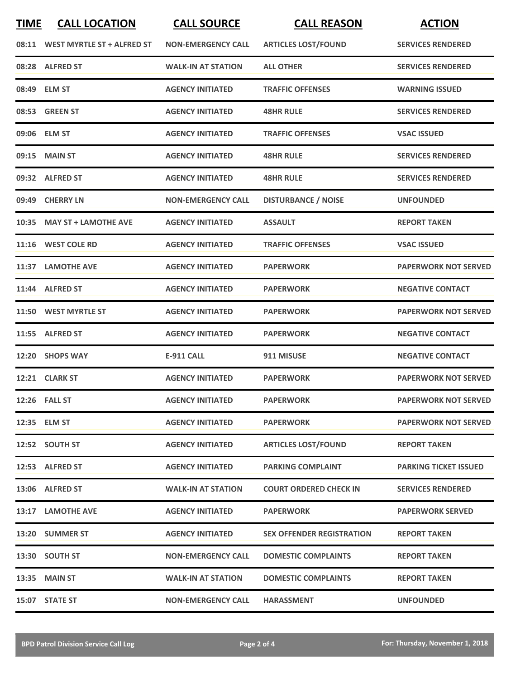| <b>TIME</b> | <b>CALL LOCATION</b>             | <b>CALL SOURCE</b>        | <b>CALL REASON</b>               | <b>ACTION</b>                |
|-------------|----------------------------------|---------------------------|----------------------------------|------------------------------|
|             | 08:11 WEST MYRTLE ST + ALFRED ST | <b>NON-EMERGENCY CALL</b> | <b>ARTICLES LOST/FOUND</b>       | <b>SERVICES RENDERED</b>     |
|             | 08:28 ALFRED ST                  | <b>WALK-IN AT STATION</b> | <b>ALL OTHER</b>                 | <b>SERVICES RENDERED</b>     |
|             | 08:49 ELM ST                     | <b>AGENCY INITIATED</b>   | <b>TRAFFIC OFFENSES</b>          | <b>WARNING ISSUED</b>        |
|             | 08:53 GREEN ST                   | <b>AGENCY INITIATED</b>   | <b>48HR RULE</b>                 | <b>SERVICES RENDERED</b>     |
|             | 09:06 ELM ST                     | <b>AGENCY INITIATED</b>   | <b>TRAFFIC OFFENSES</b>          | <b>VSAC ISSUED</b>           |
| 09:15       | <b>MAIN ST</b>                   | <b>AGENCY INITIATED</b>   | <b>48HR RULE</b>                 | <b>SERVICES RENDERED</b>     |
|             | 09:32 ALFRED ST                  | <b>AGENCY INITIATED</b>   | <b>48HR RULE</b>                 | <b>SERVICES RENDERED</b>     |
| 09:49       | <b>CHERRY LN</b>                 | <b>NON-EMERGENCY CALL</b> | <b>DISTURBANCE / NOISE</b>       | <b>UNFOUNDED</b>             |
| 10:35       | <b>MAY ST + LAMOTHE AVE</b>      | <b>AGENCY INITIATED</b>   | <b>ASSAULT</b>                   | <b>REPORT TAKEN</b>          |
|             | 11:16 WEST COLE RD               | <b>AGENCY INITIATED</b>   | <b>TRAFFIC OFFENSES</b>          | <b>VSAC ISSUED</b>           |
|             | 11:37 LAMOTHE AVE                | <b>AGENCY INITIATED</b>   | <b>PAPERWORK</b>                 | <b>PAPERWORK NOT SERVED</b>  |
| 11:44       | <b>ALFRED ST</b>                 | <b>AGENCY INITIATED</b>   | <b>PAPERWORK</b>                 | <b>NEGATIVE CONTACT</b>      |
| 11:50       | <b>WEST MYRTLE ST</b>            | <b>AGENCY INITIATED</b>   | <b>PAPERWORK</b>                 | <b>PAPERWORK NOT SERVED</b>  |
| 11:55       | <b>ALFRED ST</b>                 | <b>AGENCY INITIATED</b>   | <b>PAPERWORK</b>                 | <b>NEGATIVE CONTACT</b>      |
| 12:20       | <b>SHOPS WAY</b>                 | <b>E-911 CALL</b>         | 911 MISUSE                       | <b>NEGATIVE CONTACT</b>      |
|             | 12:21 CLARK ST                   | <b>AGENCY INITIATED</b>   | <b>PAPERWORK</b>                 | <b>PAPERWORK NOT SERVED</b>  |
|             | 12:26 FALL ST                    | <b>AGENCY INITIATED</b>   | <b>PAPERWORK</b>                 | <b>PAPERWORK NOT SERVED</b>  |
|             | 12:35 ELM ST                     | <b>AGENCY INITIATED</b>   | <b>PAPERWORK</b>                 | <b>PAPERWORK NOT SERVED</b>  |
|             | 12:52 SOUTH ST                   | <b>AGENCY INITIATED</b>   | <b>ARTICLES LOST/FOUND</b>       | <b>REPORT TAKEN</b>          |
|             | 12:53 ALFRED ST                  | <b>AGENCY INITIATED</b>   | <b>PARKING COMPLAINT</b>         | <b>PARKING TICKET ISSUED</b> |
|             | 13:06 ALFRED ST                  | <b>WALK-IN AT STATION</b> | <b>COURT ORDERED CHECK IN</b>    | <b>SERVICES RENDERED</b>     |
|             | 13:17 LAMOTHE AVE                | <b>AGENCY INITIATED</b>   | <b>PAPERWORK</b>                 | <b>PAPERWORK SERVED</b>      |
|             | 13:20 SUMMER ST                  | <b>AGENCY INITIATED</b>   | <b>SEX OFFENDER REGISTRATION</b> | <b>REPORT TAKEN</b>          |
|             | 13:30 SOUTH ST                   | <b>NON-EMERGENCY CALL</b> | <b>DOMESTIC COMPLAINTS</b>       | <b>REPORT TAKEN</b>          |
|             | <b>13:35 MAIN ST</b>             | <b>WALK-IN AT STATION</b> | <b>DOMESTIC COMPLAINTS</b>       | <b>REPORT TAKEN</b>          |
|             | 15:07 STATE ST                   | <b>NON-EMERGENCY CALL</b> | <b>HARASSMENT</b>                | <b>UNFOUNDED</b>             |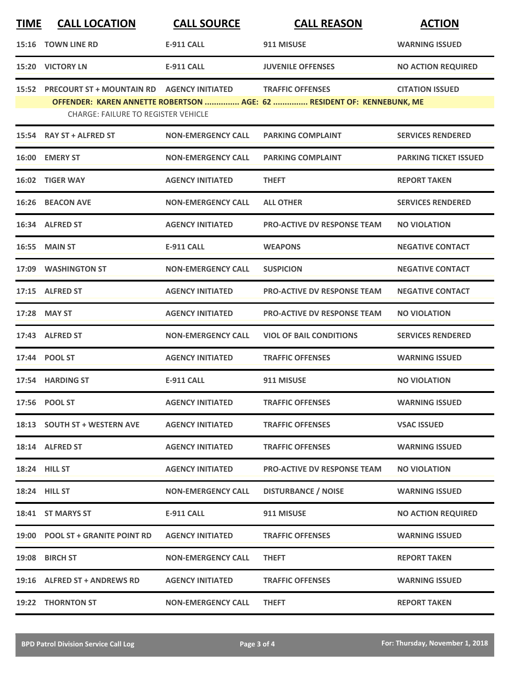| <b>TIME</b> | <b>CALL LOCATION</b>                                                                           | <b>CALL SOURCE</b>        | <b>CALL REASON</b>                                                                                | <b>ACTION</b>                |
|-------------|------------------------------------------------------------------------------------------------|---------------------------|---------------------------------------------------------------------------------------------------|------------------------------|
|             | <b>15:16 TOWN LINE RD</b>                                                                      | <b>E-911 CALL</b>         | 911 MISUSE                                                                                        | <b>WARNING ISSUED</b>        |
|             | <b>15:20 VICTORY LN</b>                                                                        | <b>E-911 CALL</b>         | <b>JUVENILE OFFENSES</b>                                                                          | <b>NO ACTION REQUIRED</b>    |
|             | 15:52 PRECOURT ST + MOUNTAIN RD AGENCY INITIATED<br><b>CHARGE: FAILURE TO REGISTER VEHICLE</b> |                           | <b>TRAFFIC OFFENSES</b><br>OFFENDER: KAREN ANNETTE ROBERTSON  AGE: 62  RESIDENT OF: KENNEBUNK, ME | <b>CITATION ISSUED</b>       |
|             | 15:54 RAY ST + ALFRED ST                                                                       | <b>NON-EMERGENCY CALL</b> | <b>PARKING COMPLAINT</b>                                                                          | <b>SERVICES RENDERED</b>     |
| 16:00       | <b>EMERY ST</b>                                                                                | <b>NON-EMERGENCY CALL</b> | <b>PARKING COMPLAINT</b>                                                                          | <b>PARKING TICKET ISSUED</b> |
|             | 16:02 TIGER WAY                                                                                | <b>AGENCY INITIATED</b>   | <b>THEFT</b>                                                                                      | <b>REPORT TAKEN</b>          |
|             | 16:26 BEACON AVE                                                                               | <b>NON-EMERGENCY CALL</b> | <b>ALL OTHER</b>                                                                                  | <b>SERVICES RENDERED</b>     |
|             | 16:34 ALFRED ST                                                                                | <b>AGENCY INITIATED</b>   | <b>PRO-ACTIVE DV RESPONSE TEAM</b>                                                                | <b>NO VIOLATION</b>          |
|             | <b>16:55 MAIN ST</b>                                                                           | E-911 CALL                | <b>WEAPONS</b>                                                                                    | <b>NEGATIVE CONTACT</b>      |
|             | 17:09 WASHINGTON ST                                                                            | <b>NON-EMERGENCY CALL</b> | <b>SUSPICION</b>                                                                                  | <b>NEGATIVE CONTACT</b>      |
|             | 17:15 ALFRED ST                                                                                | <b>AGENCY INITIATED</b>   | <b>PRO-ACTIVE DV RESPONSE TEAM</b>                                                                | <b>NEGATIVE CONTACT</b>      |
| 17:28       | <b>MAY ST</b>                                                                                  | <b>AGENCY INITIATED</b>   | <b>PRO-ACTIVE DV RESPONSE TEAM</b>                                                                | <b>NO VIOLATION</b>          |
| 17:43       | <b>ALFRED ST</b>                                                                               | <b>NON-EMERGENCY CALL</b> | <b>VIOL OF BAIL CONDITIONS</b>                                                                    | <b>SERVICES RENDERED</b>     |
|             | 17:44 POOL ST                                                                                  | <b>AGENCY INITIATED</b>   | <b>TRAFFIC OFFENSES</b>                                                                           | <b>WARNING ISSUED</b>        |
|             | 17:54 HARDING ST                                                                               | <b>E-911 CALL</b>         | 911 MISUSE                                                                                        | <b>NO VIOLATION</b>          |
|             | 17:56 POOL ST                                                                                  | <b>AGENCY INITIATED</b>   | <b>TRAFFIC OFFENSES</b>                                                                           | <b>WARNING ISSUED</b>        |
|             | 18:13 SOUTH ST + WESTERN AVE                                                                   | <b>AGENCY INITIATED</b>   | <b>TRAFFIC OFFENSES</b>                                                                           | <b>VSAC ISSUED</b>           |
|             | 18:14 ALFRED ST                                                                                | <b>AGENCY INITIATED</b>   | <b>TRAFFIC OFFENSES</b>                                                                           | <b>WARNING ISSUED</b>        |
|             | <b>18:24 HILL ST</b>                                                                           | <b>AGENCY INITIATED</b>   | <b>PRO-ACTIVE DV RESPONSE TEAM</b>                                                                | <b>NO VIOLATION</b>          |
|             | <b>18:24 HILL ST</b>                                                                           | <b>NON-EMERGENCY CALL</b> | <b>DISTURBANCE / NOISE</b>                                                                        | <b>WARNING ISSUED</b>        |
|             | 18:41 ST MARYS ST                                                                              | <b>E-911 CALL</b>         | 911 MISUSE                                                                                        | <b>NO ACTION REQUIRED</b>    |
|             | 19:00 POOL ST + GRANITE POINT RD                                                               | <b>AGENCY INITIATED</b>   | <b>TRAFFIC OFFENSES</b>                                                                           | <b>WARNING ISSUED</b>        |
|             | 19:08 BIRCH ST                                                                                 | <b>NON-EMERGENCY CALL</b> | <b>THEFT</b>                                                                                      | <b>REPORT TAKEN</b>          |
|             | 19:16 ALFRED ST + ANDREWS RD                                                                   | <b>AGENCY INITIATED</b>   | <b>TRAFFIC OFFENSES</b>                                                                           | <b>WARNING ISSUED</b>        |
|             | 19:22 THORNTON ST                                                                              | <b>NON-EMERGENCY CALL</b> | <b>THEFT</b>                                                                                      | <b>REPORT TAKEN</b>          |